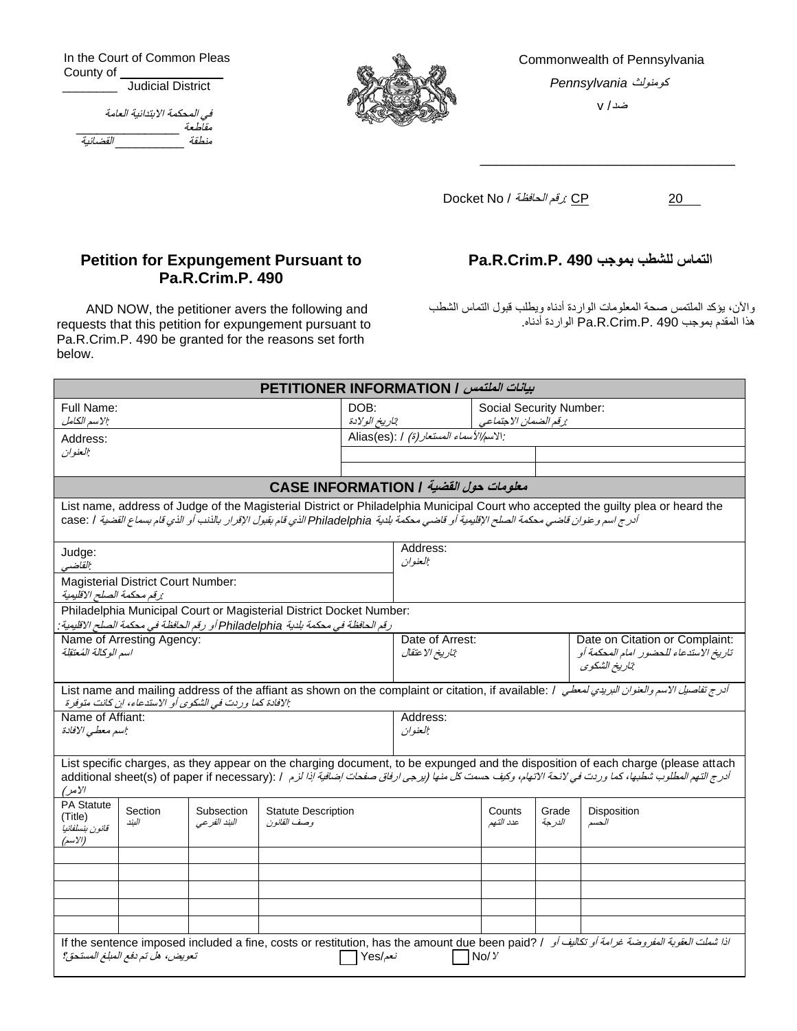In the Court of Common Pleas County of \_\_\_\_\_\_\_\_ Judicial District

| في المحكمة الابتدائية العامة |        |
|------------------------------|--------|
|                              | مقلطعة |
| القضائية                     | منطقة  |



Commonwealth of Pennsylvania كومنولث *Pennsylvania*

ضد / v

\_\_\_\_\_\_\_\_\_\_\_\_\_\_\_\_\_\_\_\_\_\_\_\_\_\_\_\_\_\_\_\_

Docket No / الحافظة رقم*:* CP 20

## **Petition for Expungement Pursuant to Pa.R.Crim.P. 490**

AND NOW, the petitioner avers the following and requests that this petition for expungement pursuant to Pa.R.Crim.P. 490 be granted for the reasons set forth below.

## **Pa.R.Crim.P. 490 بموجب للشطب التماس**

واآلن، يؤكد الملتمس صحة المعلومات الواردة أدناه ويطلب قبول التماس الشطب هذا المقدم بموجب 490 .P.Crim.R.Pa الواردة أدناه.

| <i>بيانات الملتمس   PETITIONER INFORMATION</i>                                                                                                                                                                                                                                                      |                                                   |                     |                                                                                                             |                                                 |                      |  |
|-----------------------------------------------------------------------------------------------------------------------------------------------------------------------------------------------------------------------------------------------------------------------------------------------------|---------------------------------------------------|---------------------|-------------------------------------------------------------------------------------------------------------|-------------------------------------------------|----------------------|--|
| Full Name:<br>الاسم الكامل.                                                                                                                                                                                                                                                                         | DOB:                                              | تاريخ الولادة       |                                                                                                             | Social Security Number:<br>رقم الضمان الاجتماعي |                      |  |
| Address:<br>العنوان                                                                                                                                                                                                                                                                                 | : الاسم <i>الأسماء المستعار (ة)</i> / : Alias(es) |                     |                                                                                                             |                                                 |                      |  |
|                                                                                                                                                                                                                                                                                                     |                                                   |                     |                                                                                                             |                                                 |                      |  |
| معلومات حول القضية / CASE INFORMATION                                                                                                                                                                                                                                                               |                                                   |                     |                                                                                                             |                                                 |                      |  |
| List name, address of Judge of the Magisterial District or Philadelphia Municipal Court who accepted the guilty plea or heard the<br>أدرج اسم و عنوان قاضي محكمة الصلح الإقليمية أو قاضي محكمة بلدية Philadelphia الذي قام بقبول الإقرار بالذنب أو الذي قام بسماع القضية / case: /                  |                                                   |                     |                                                                                                             |                                                 |                      |  |
| Judge:<br>القاضبي                                                                                                                                                                                                                                                                                   |                                                   | Address:<br>العنوان |                                                                                                             |                                                 |                      |  |
| <b>Magisterial District Court Number:</b><br>:رقم محكمة الصلح الاقليمية                                                                                                                                                                                                                             |                                                   |                     |                                                                                                             |                                                 |                      |  |
| Philadelphia Municipal Court or Magisterial District Docket Number:<br>رقم الحافظة في محكمة بلدية Philadelphia أو رقم الحافظة في محكمة الصلح الاقليمية:                                                                                                                                             |                                                   |                     |                                                                                                             |                                                 |                      |  |
| Name of Arresting Agency:<br>اسم الوكالة المُعتقِلة                                                                                                                                                                                                                                                 | تاريخ الاعتقال                                    |                     | Date of Arrest:<br>Date on Citation or Complaint:<br>تاريخ الاستدعاء للحضور امام المحكمة أو<br>تاريخ الشكوى |                                                 |                      |  |
| أدرج تفاصيل الاسم والعفوان البريدي لمعطى النك List name and mailing address of the affiant as shown on the complaint or citation, if available: / أدرج تفاصيل الاسم والعفوان البريدي لمعطى المنطقة المسموع المعادي<br>: الإفادة كما وردت في الشكوى أو الاستدعاء، إن كانت متوفرة                     |                                                   |                     |                                                                                                             |                                                 |                      |  |
| Name of Affiant:<br>اسم معطى الإفادة                                                                                                                                                                                                                                                                | Address:<br>العنوان                               |                     |                                                                                                             |                                                 |                      |  |
| List specific charges, as they appear on the charging document, to be expunged and the disposition of each charge (please attach<br>أدرج التهم المطلوب شطبها، كما وردت في لائحة الاتهام، وكيف حست كل منها (بزجي ارفاق صفحات إضافية إذا لزم / : additional sheet(s) of paper if necessary)<br>الأمر) |                                                   |                     |                                                                                                             |                                                 |                      |  |
| <b>PA Statute</b><br>Section<br>Subsection<br>(Title)<br>الىند<br>البند الفر عي<br>قانون بنسلفانيا<br>(الاسم)                                                                                                                                                                                       | <b>Statute Description</b><br>و صف القانون        |                     | Counts<br>عدد التهم                                                                                         | Grade<br>الدر جة                                | Disposition<br>الحسم |  |
|                                                                                                                                                                                                                                                                                                     |                                                   |                     |                                                                                                             |                                                 |                      |  |
|                                                                                                                                                                                                                                                                                                     |                                                   |                     |                                                                                                             |                                                 |                      |  |
|                                                                                                                                                                                                                                                                                                     |                                                   |                     |                                                                                                             |                                                 |                      |  |
| اذا شعلت العقوبة العفورضة غرامة أو تتكاليف أو    If the sentence imposed included a fine, costs or restitution, has the amount due been paid? / اذا شعلت العقوبة العفورضة غرامة أو تتكاليف أو    If<br>تعويض، هل تم دفع المبلغ المستحق؟<br>نعم/Yes<br>No/Y                                          |                                                   |                     |                                                                                                             |                                                 |                      |  |